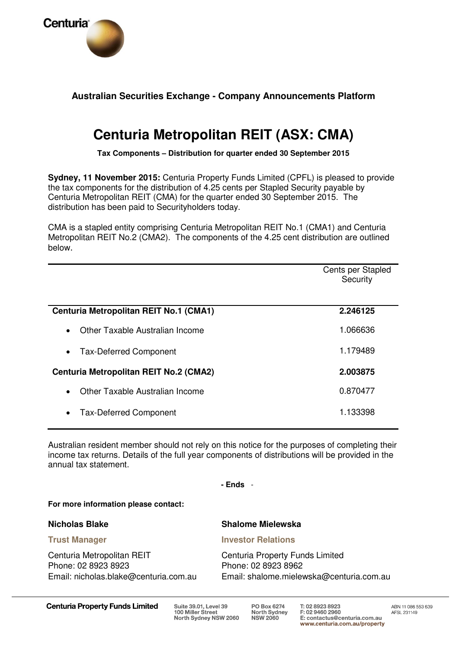

# **Australian Securities Exchange - Company Announcements Platform**

# **Centuria Metropolitan REIT (ASX: CMA)**

**Tax Components – Distribution for quarter ended 30 September 2015** 

**Sydney, 11 November 2015:** Centuria Property Funds Limited (CPFL) is pleased to provide the tax components for the distribution of 4.25 cents per Stapled Security payable by Centuria Metropolitan REIT (CMA) for the quarter ended 30 September 2015. The distribution has been paid to Securityholders today.

CMA is a stapled entity comprising Centuria Metropolitan REIT No.1 (CMA1) and Centuria Metropolitan REIT No.2 (CMA2). The components of the 4.25 cent distribution are outlined below.

|                                               | Cents per Stapled<br>Security |
|-----------------------------------------------|-------------------------------|
| <b>Centuria Metropolitan REIT No.1 (CMA1)</b> | 2.246125                      |
| Other Taxable Australian Income<br>$\bullet$  | 1.066636                      |
| <b>Tax-Deferred Component</b><br>$\bullet$    | 1.179489                      |
| <b>Centuria Metropolitan REIT No.2 (CMA2)</b> | 2.003875                      |
| Other Taxable Australian Income<br>$\bullet$  | 0.870477                      |
| <b>Tax-Deferred Component</b><br>$\bullet$    | 1.133398                      |

Australian resident member should not rely on this notice for the purposes of completing their income tax returns. Details of the full year components of distributions will be provided in the annual tax statement.

**- Ends** -

**For more information please contact:** 

#### **Nicholas Blake**

#### **Trust Manager**

Centuria Metropolitan REIT Phone: 02 8923 8923 Email: nicholas.blake@centuria.com.au

## **Shalome Mielewska**

**Investor Relations** 

Centuria Property Funds Limited Phone: 02 8923 8962 Email: shalome.mielewska@centuria.com.au

**Centuria Property Funds Limited**